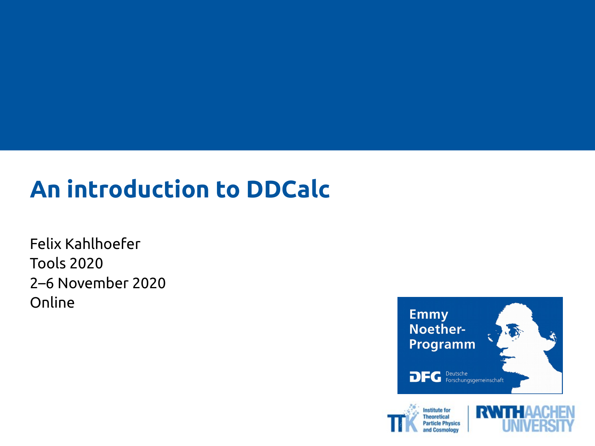#### **An introduction to DDCalc**

Felix Kahlhoefer Tools 2020 2–6 November 2020 Online





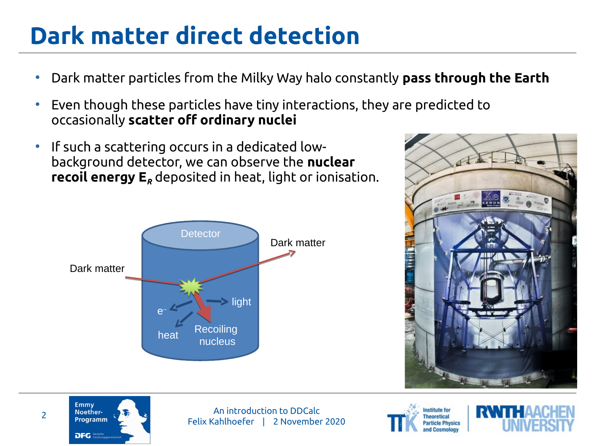## **Dark matter direct detection**

- Dark matter particles from the Milky Way halo constantly **pass through the Earth**
- Even though these particles have tiny interactions, they are predicted to occasionally **scatter off ordinary nuclei**
- If such a scattering occurs in a dedicated lowbackground detector, we can observe the **nuclear recoil energy E***<sup>R</sup>* deposited in heat, light or ionisation.









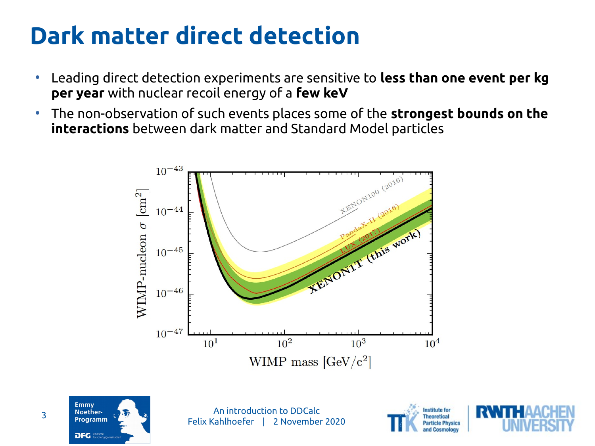## **Dark matter direct detection**

- Leading direct detection experiments are sensitive to **less than one event per kg per year** with nuclear recoil energy of a **few keV**
- The non-observation of such events places some of the **strongest bounds on the interactions** between dark matter and Standard Model particles









**Emmy** 

**DFG Peutsch**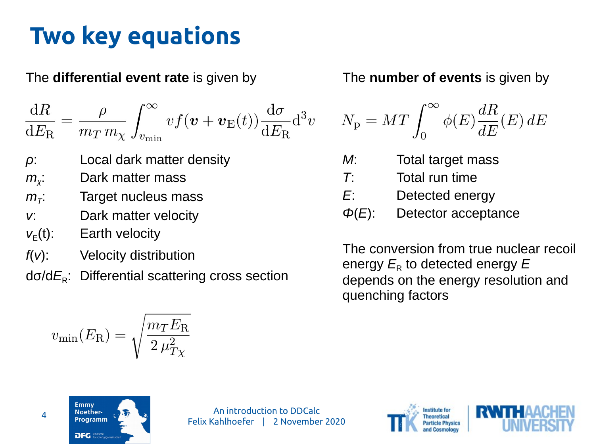## **Two key equations**

#### The **differential event rate** is given by

$$
\frac{\mathrm{d}R}{\mathrm{d}E_{\mathrm{R}}} = \frac{\rho}{m_T m_\chi} \int_{v_{\mathrm{min}}}^{\infty} v f(\boldsymbol{v} + \boldsymbol{v}_{\mathrm{E}}(t)) \frac{\mathrm{d}\sigma}{\mathrm{d}E_{\mathrm{R}}} \mathrm{d}^3 v
$$

- *ρ*: Local dark matter density
- *m<sup>χ</sup>* Dark matter mass
- $m<sub>\tau</sub>$ . : Target nucleus mass
- *v*: Dark matter velocity
- $v_F(t)$ : Earth velocity
- *f*(*v*): Velocity distribution

dσ/dE<sub>R</sub>: Differential scattering cross section

$$
v_{\rm min}(E_{\rm R}) = \sqrt{\frac{m_T E_{\rm R}}{2\,\mu_{T\chi}^2}}
$$

#### The **number of events** is given by

$$
N_{\rm p} = M T \int_0^\infty \phi(E) \frac{dR}{dE}(E) \, dE
$$

- *M*: Total target mass
- *T*: Total run time
- *E*: Detected energy
- *Φ*(*E*): Detector acceptance

The conversion from true nuclear recoil energy  $E_R$  to detected energy  $E$ depends on the energy resolution and quenching factors





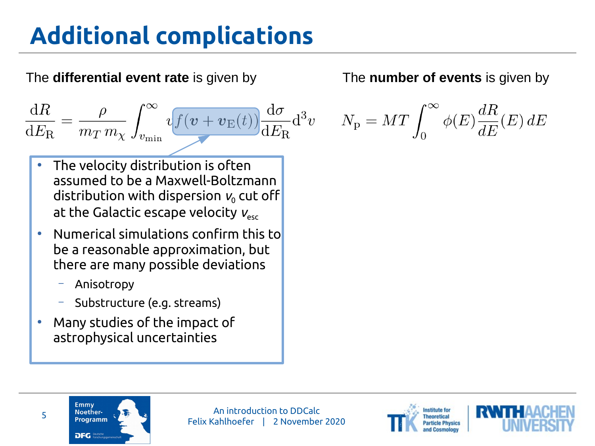# **Additional complications**

#### The **differential event rate** is given by

 $\frac{\mathrm{d}R}{\mathrm{d}E_{\mathrm{R}}} = \frac{\rho}{m_T m_\chi} \int_{v_{\mathrm{min}}}^{\infty} v f(v+v_{\mathrm{E}}(t)) \frac{\mathrm{d}\sigma}{\mathrm{d}E_{\mathrm{R}}} \mathrm{d}^3v$ 

- The velocity distribution is often assumed to be a Maxwell-Boltzmann distribution with dispersion  $v_0$  cut off at the Galactic escape velocity  $V_{esc}$
- Numerical simulations confirm this to be a reasonable approximation, but there are many possible deviations
	- Anisotropy
	- Substructure (e.g. streams)
- Many studies of the impact of astrophysical uncertainties

#### The **number of events** is given by

$$
N_{\rm p} = M T \int_0^\infty \phi(E) \frac{dR}{dE}(E) \, dE
$$

Emmy



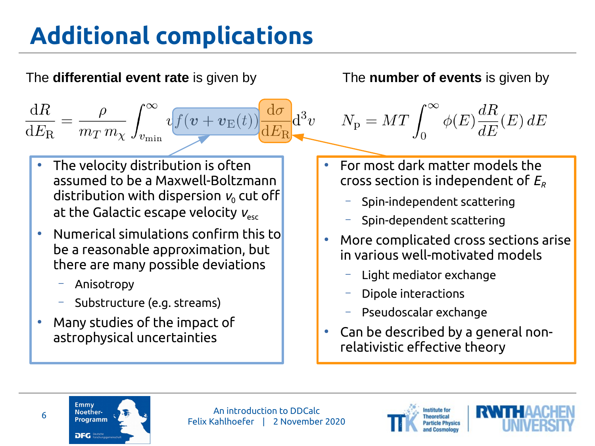# **Additional complications**







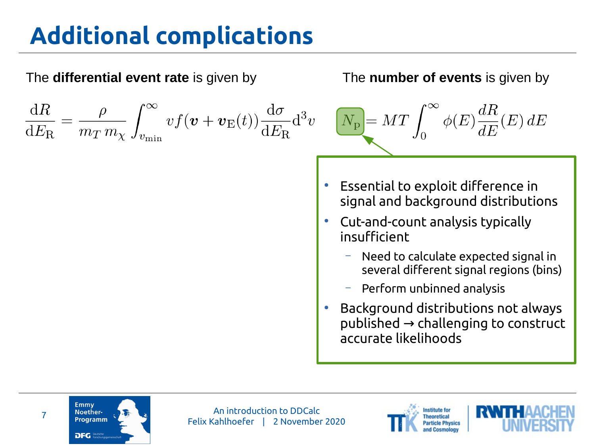# **Additional complications**







**Emmy** 

DFG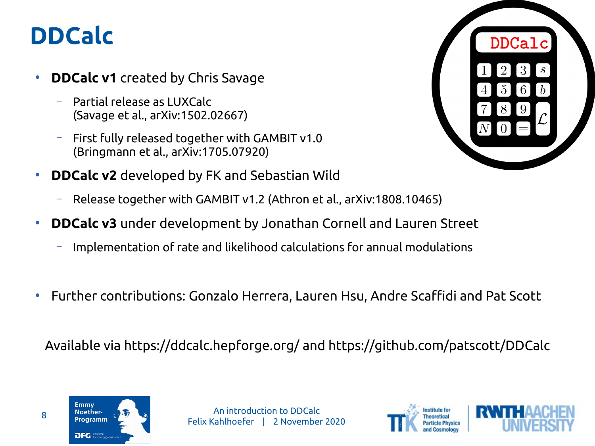## **DDCalc**

- **DDCalc v1** created by Chris Savage
	- Partial release as LUXCalc (Savage et al., arXiv:1502.02667)
	- First fully released together with GAMBIT v1.0 (Bringmann et al., arXiv:1705.07920)
- **DDCalc v2** developed by FK and Sebastian Wild
	- Release together with GAMBIT v1.2 (Athron et al., arXiv:1808.10465)
- **DDCalc v3** under development by Jonathan Cornell and Lauren Street
	- Implementation of rate and likelihood calculations for annual modulations
- Further contributions: Gonzalo Herrera, Lauren Hsu, Andre Scaffidi and Pat Scott

Available via <https://ddcalc.hepforge.org/>and <https://github.com/patscott/DDCalc>







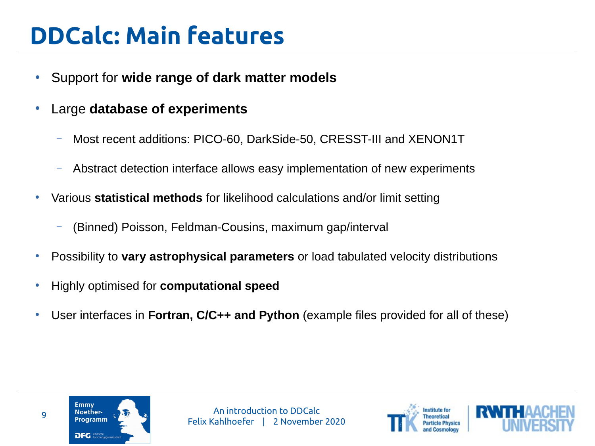## **DDCalc: Main features**

- Support for **wide range of dark matter models**
- Large **database of experiments**
	- Most recent additions: PICO-60, DarkSide-50, CRESST-III and XENON1T
	- Abstract detection interface allows easy implementation of new experiments
- Various statistical methods for likelihood calculations and/or limit setting
	- (Binned) Poisson, Feldman-Cousins, maximum gap/interval
- Possibility to **vary astrophysical parameters** or load tabulated velocity distributions
- Highly optimised for **computational speed**
- User interfaces in **Fortran, C/C++ and Python** (example files provided for all of these)



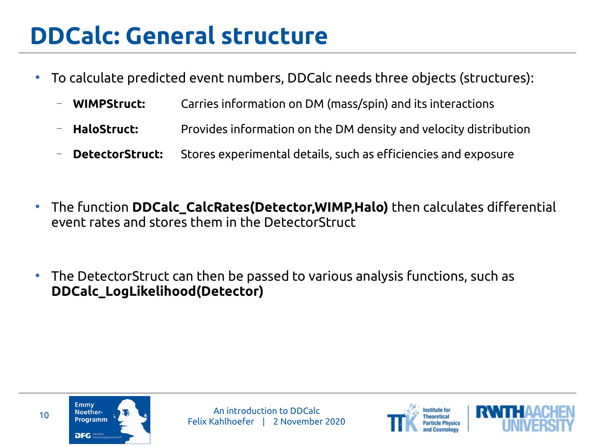### **DDCalc: General structure**

- To calculate predicted event numbers, DDCalc needs three objects (structures):
	- **WIMPStruct:** Carries information on DM (mass/spin) and its interactions
	- **HaloStruct:** Provides information on the DM density and velocity distribution
	- **DetectorStruct:** Stores experimental details, such as efficiencies and exposure
- The function **DDCalc\_CalcRates(Detector,WIMP,Halo)** then calculates differential event rates and stores them in the DetectorStruct
- The DetectorStruct can then be passed to various analysis functions, such as **DDCalc\_LogLikelihood(Detector)**



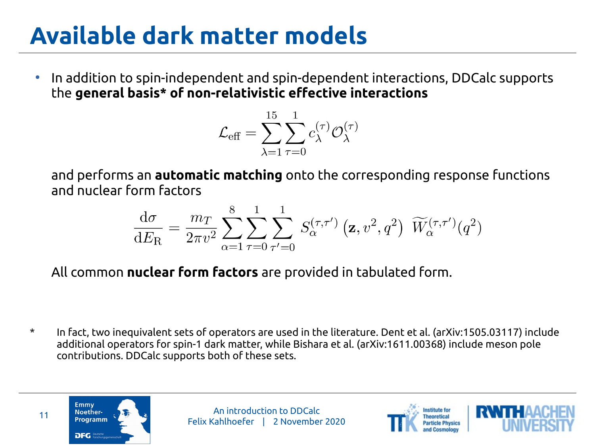## **Available dark matter models**

● In addition to spin-independent and spin-dependent interactions, DDCalc supports the **general basis\* of non-relativistic effective interactions**

$$
\mathcal{L}_{\text{eff}} = \sum_{\lambda=1}^{15} \sum_{\tau=0}^{1} c_{\lambda}^{(\tau)} \mathcal{O}_{\lambda}^{(\tau)}
$$

and performs an **automatic matching** onto the corresponding response functions and nuclear form factors

$$
\frac{d\sigma}{dE_{\rm R}} = \frac{m_T}{2\pi v^2} \sum_{\alpha=1}^{8} \sum_{\tau=0}^{1} \sum_{\tau'=0}^{1} S_{\alpha}^{(\tau,\tau')} \left( \mathbf{z}, v^2, q^2 \right) \; \widetilde{W}_{\alpha}^{(\tau,\tau')}(q^2)
$$

All common **nuclear form factors** are provided in tabulated form.

\* In fact, two inequivalent sets of operators are used in the literature. Dent et al. (arXiv:1505.03117) include additional operators for spin-1 dark matter, while Bishara et al. (arXiv:1611.00368) include meson pole contributions. DDCalc supports both of these sets.





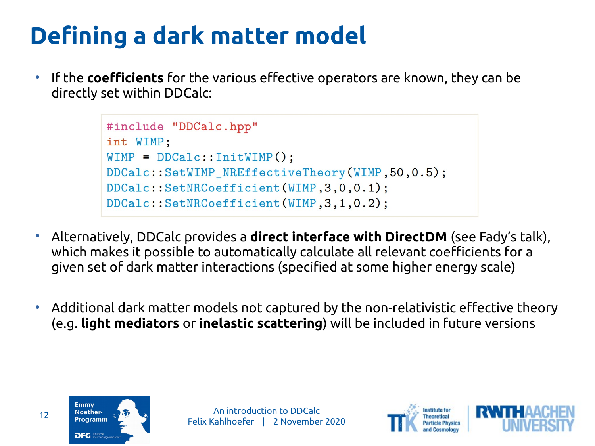# **Defining a dark matter model**

● If the **coefficients** for the various effective operators are known, they can be directly set within DDCalc:

```
#include "DDCalc.hpp"
int WIMP:
WIMP = DDCalc::InitWIMP():
DDCalc::SetWIMP NREffectiveTheory(WIMP, 50, 0.5);
DDCalc::SetNRCoefficient(WIMP, 3, 0, 0.1);
DDCalc::SetNRCoefficient(WIMP, 3, 1, 0.2);
```
- Alternatively, DDCalc provides a **direct interface with DirectDM** (see Fady's talk), which makes it possible to automatically calculate all relevant coefficients for a given set of dark matter interactions (specified at some higher energy scale)
- Additional dark matter models not captured by the non-relativistic effective theory (e.g. **light mediators** or **inelastic scattering**) will be included in future versions





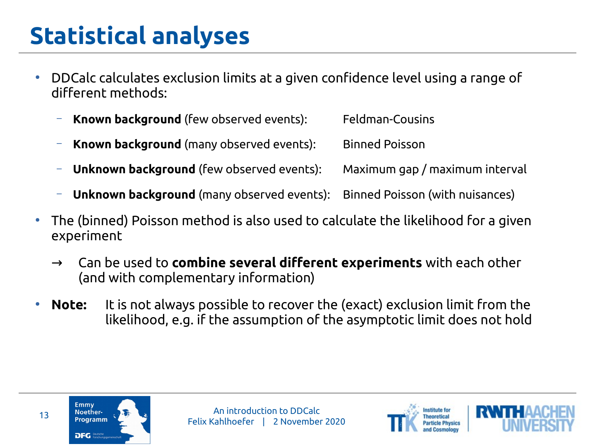# **Statistical analyses**

- DDCalc calculates exclusion limits at a given confidence level using a range of different methods:
	- **Known background** (few observed events): Feldman-Cousins
	- **Known background** (many observed events): Binned Poisson
	- **Unknown background** (few observed events): Maximum gap / maximum interval
	- **Unknown background** (many observed events): Binned Poisson (with nuisances)
- The (binned) Poisson method is also used to calculate the likelihood for a given experiment
	- → Can be used to **combine several different experiments** with each other (and with complementary information)
- **Note:** It is not always possible to recover the (exact) exclusion limit from the likelihood, e.g. if the assumption of the asymptotic limit does not hold





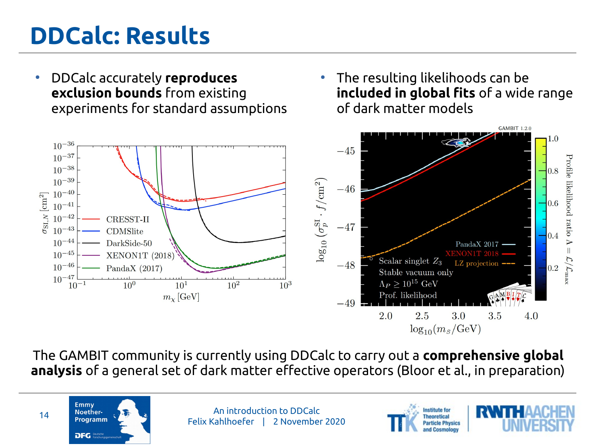## **DDCalc: Results**

- DDCalc accurately **reproduces exclusion bounds** from existing experiments for standard assumptions
- $\bullet$  The resulting likelihoods can be **included in global fits** of a wide range of dark matter models



The GAMBIT community is currently using DDCalc to carry out a **comprehensive global analysis** of a general set of dark matter effective operators (Bloor et al., in preparation)





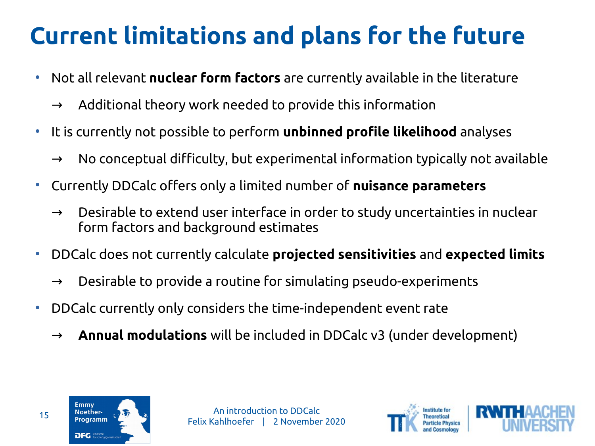# **Current limitations and plans for the future**

- Not all relevant **nuclear form factors** are currently available in the literature
	- $\rightarrow$  Additional theory work needed to provide this information
- It is currently not possible to perform **unbinned profile likelihood** analyses
	- $\rightarrow$  No conceptual difficulty, but experimental information typically not available
- Currently DDCalc offers only a limited number of **nuisance parameters**
	- $\rightarrow$  Desirable to extend user interface in order to study uncertainties in nuclear form factors and background estimates
- DDCalc does not currently calculate **projected sensitivities** and **expected limits**
	- Desirable to provide a routine for simulating pseudo-experiments
- DDCalc currently only considers the time-independent event rate
	- → **Annual modulations** will be included in DDCalc v3 (under development)